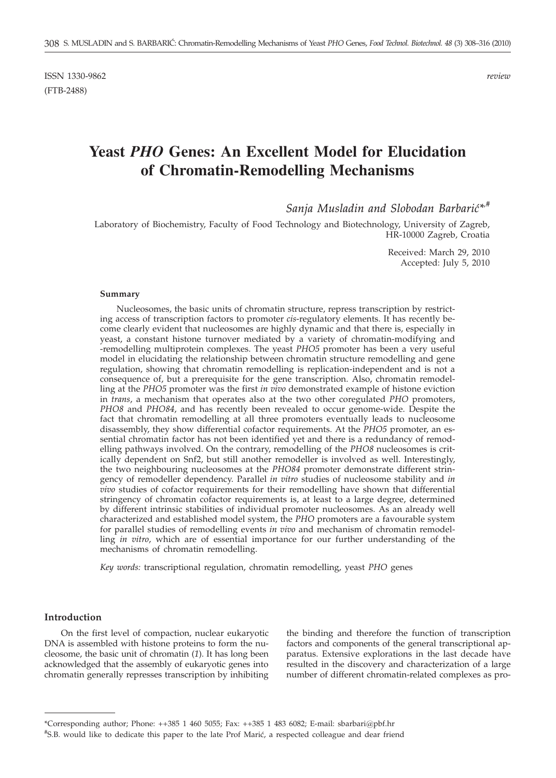ISSN 1330-9862 *review* (FTB-2488)

# **Yeast** *PHO* **Genes: An Excellent Model for Elucidation of Chromatin-Remodelling Mechanisms**

*Sanja Musladin and Slobodan Barbarić*\*<sup>*#*</sup></sup>

Laboratory of Biochemistry, Faculty of Food Technology and Biotechnology, University of Zagreb, HR-10000 Zagreb, Croatia

> Received: March 29, 2010 Accepted: July 5, 2010

#### **Summary**

Nucleosomes, the basic units of chromatin structure, repress transcription by restricting access of transcription factors to promoter *cis*-regulatory elements. It has recently become clearly evident that nucleosomes are highly dynamic and that there is, especially in yeast, a constant histone turnover mediated by a variety of chromatin-modifying and -remodelling multiprotein complexes. The yeast *PHO5* promoter has been a very useful model in elucidating the relationship between chromatin structure remodelling and gene regulation, showing that chromatin remodelling is replication-independent and is not a consequence of, but a prerequisite for the gene transcription. Also, chromatin remodelling at the *PHO5* promoter was the first *in vivo* demonstrated example of histone eviction in *trans*, a mechanism that operates also at the two other coregulated *PHO* promoters, *PHO8* and *PHO84*, and has recently been revealed to occur genome-wide. Despite the fact that chromatin remodelling at all three promoters eventually leads to nucleosome disassembly, they show differential cofactor requirements. At the *PHO5* promoter, an essential chromatin factor has not been identified yet and there is a redundancy of remodelling pathways involved. On the contrary, remodelling of the *PHO8* nucleosomes is critically dependent on Snf2, but still another remodeller is involved as well. Interestingly, the two neighbouring nucleosomes at the *PHO84* promoter demonstrate different stringency of remodeller dependency. Parallel *in vitro* studies of nucleosome stability and *in vivo* studies of cofactor requirements for their remodelling have shown that differential stringency of chromatin cofactor requirements is, at least to a large degree, determined by different intrinsic stabilities of individual promoter nucleosomes. As an already well characterized and established model system, the *PHO* promoters are a favourable system for parallel studies of remodelling events *in vivo* and mechanism of chromatin remodelling *in vitro*, which are of essential importance for our further understanding of the mechanisms of chromatin remodelling.

*Key words:* transcriptional regulation, chromatin remodelling, yeast *PHO* genes

#### **Introduction**

On the first level of compaction, nuclear eukaryotic DNA is assembled with histone proteins to form the nucleosome, the basic unit of chromatin (*1*). It has long been acknowledged that the assembly of eukaryotic genes into chromatin generally represses transcription by inhibiting

the binding and therefore the function of transcription factors and components of the general transcriptional apparatus. Extensive explorations in the last decade have resulted in the discovery and characterization of a large number of different chromatin-related complexes as pro-

<sup>\*</sup>Corresponding author; Phone: ++385 1 460 5055; Fax: ++385 1 483 6082; E-mail: sbarbari@pbf.hr

<sup>#</sup>S.B. would like to dedicate this paper to the late Prof Marić, a respected colleague and dear friend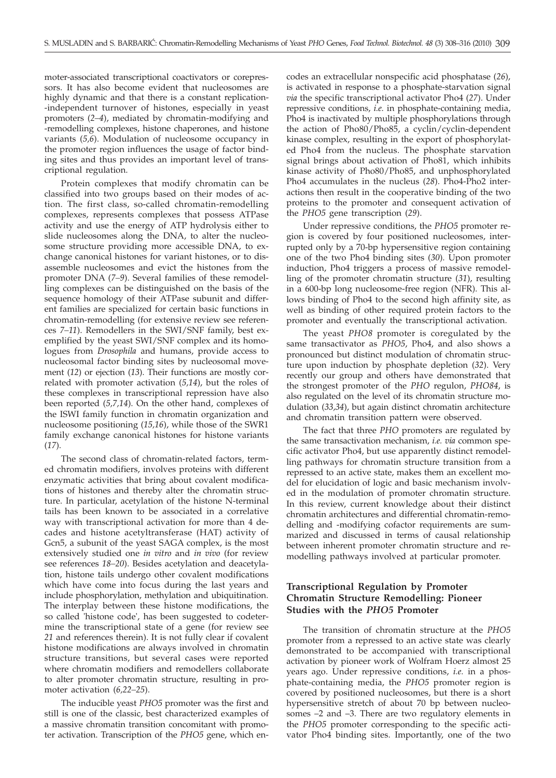moter-associated transcriptional coactivators or corepressors. It has also become evident that nucleosomes are highly dynamic and that there is a constant replication- -independent turnover of histones, especially in yeast promoters (*2–4*), mediated by chromatin-modifying and -remodelling complexes, histone chaperones, and histone variants (*5,6*). Modulation of nucleosome occupancy in the promoter region influences the usage of factor binding sites and thus provides an important level of transcriptional regulation.

Protein complexes that modify chromatin can be classified into two groups based on their modes of action. The first class, so-called chromatin-remodelling complexes, represents complexes that possess ATPase activity and use the energy of ATP hydrolysis either to slide nucleosomes along the DNA, to alter the nucleosome structure providing more accessible DNA, to exchange canonical histones for variant histones, or to disassemble nucleosomes and evict the histones from the promoter DNA (*7–9*). Several families of these remodelling complexes can be distinguished on the basis of the sequence homology of their ATPase subunit and different families are specialized for certain basic functions in chromatin-remodelling (for extensive review see references *7–11*). Remodellers in the SWI/SNF family, best exemplified by the yeast SWI/SNF complex and its homologues from *Drosophila* and humans, provide access to nucleosomal factor binding sites by nucleosomal movement (*12*) or ejection (*13*). Their functions are mostly correlated with promoter activation (*5,14*), but the roles of these complexes in transcriptional repression have also been reported (*5,7,14*). On the other hand, complexes of the ISWI family function in chromatin organization and nucleosome positioning (*15,16*), while those of the SWR1 family exchange canonical histones for histone variants (*17*).

The second class of chromatin-related factors, termed chromatin modifiers, involves proteins with different enzymatic activities that bring about covalent modifications of histones and thereby alter the chromatin structure. In particular, acetylation of the histone N-terminal tails has been known to be associated in a correlative way with transcriptional activation for more than 4 decades and histone acetyltransferase (HAT) activity of Gcn5, a subunit of the yeast SAGA complex, is the most extensively studied one *in vitro* and *in vivo* (for review see references *18–20*). Besides acetylation and deacetylation, histone tails undergo other covalent modifications which have come into focus during the last years and include phosphorylation, methylation and ubiquitination. The interplay between these histone modifications, the so called 'histone code', has been suggested to codetermine the transcriptional state of a gene (for review see *21* and references therein). It is not fully clear if covalent histone modifications are always involved in chromatin structure transitions, but several cases were reported where chromatin modifiers and remodellers collaborate to alter promoter chromatin structure, resulting in promoter activation (*6,22–25*).

The inducible yeast *PHO5* promoter was the first and still is one of the classic, best characterized examples of a massive chromatin transition concomitant with promoter activation. Transcription of the *PHO5* gene, which encodes an extracellular nonspecific acid phosphatase (*26*), is activated in response to a phosphate-starvation signal *via* the specific transcriptional activator Pho4 (*27*). Under repressive conditions, *i.e*. in phosphate-containing media, Pho4 is inactivated by multiple phosphorylations through the action of Pho80/Pho85, a cyclin/cyclin-dependent kinase complex, resulting in the export of phosphorylated Pho4 from the nucleus. The phosphate starvation signal brings about activation of Pho81, which inhibits kinase activity of Pho80/Pho85, and unphosphorylated Pho4 accumulates in the nucleus (*28*). Pho4-Pho2 interactions then result in the cooperative binding of the two proteins to the promoter and consequent activation of the *PHO5* gene transcription (*29*).

Under repressive conditions, the *PHO5* promoter region is covered by four positioned nucleosomes, interrupted only by a 70-bp hypersensitive region containing one of the two Pho4 binding sites (*30*). Upon promoter induction, Pho4 triggers a process of massive remodelling of the promoter chromatin structure (*31*), resulting in a 600-bp long nucleosome-free region (NFR). This allows binding of Pho4 to the second high affinity site, as well as binding of other required protein factors to the promoter and eventually the transcriptional activation.

The yeast *PHO8* promoter is coregulated by the same transactivator as *PHO5*, Pho4, and also shows a pronounced but distinct modulation of chromatin structure upon induction by phosphate depletion (*32*). Very recently our group and others have demonstrated that the strongest promoter of the *PHO* regulon, *PHO84*, is also regulated on the level of its chromatin structure modulation (*33,34*), but again distinct chromatin architecture and chromatin transition pattern were observed.

The fact that three *PHO* promoters are regulated by the same transactivation mechanism, *i.e. via* common specific activator Pho4, but use apparently distinct remodelling pathways for chromatin structure transition from a repressed to an active state, makes them an excellent model for elucidation of logic and basic mechanism involved in the modulation of promoter chromatin structure. In this review, current knowledge about their distinct chromatin architectures and differential chromatin-remodelling and -modifying cofactor requirements are summarized and discussed in terms of causal relationship between inherent promoter chromatin structure and remodelling pathways involved at particular promoter.

## **Transcriptional Regulation by Promoter Chromatin Structure Remodelling: Pioneer Studies with the** *PHO5* **Promoter**

The transition of chromatin structure at the *PHO5* promoter from a repressed to an active state was clearly demonstrated to be accompanied with transcriptional activation by pioneer work of Wolfram Hoerz almost 25 years ago. Under repressive conditions, *i.e.* in a phosphate-containing media, the *PHO5* promoter region is covered by positioned nucleosomes, but there is a short hypersensitive stretch of about 70 bp between nucleosomes –2 and –3. There are two regulatory elements in the *PHO5* promoter corresponding to the specific activator Pho4 binding sites. Importantly, one of the two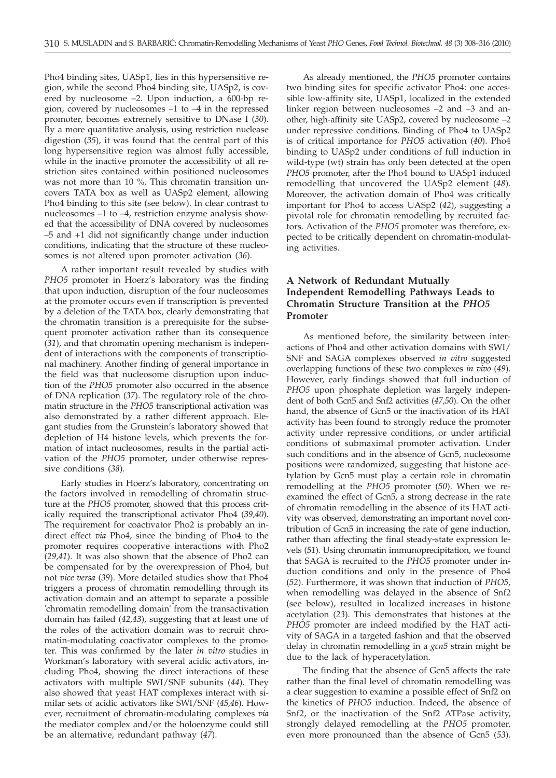Pho4 binding sites, UASp1, lies in this hypersensitive region, while the second Pho4 binding site, UASp2, is covered by nucleosome –2. Upon induction, a 600-bp region, covered by nucleosomes –1 to –4 in the repressed promoter, becomes extremely sensitive to DNase I (*30*). By a more quantitative analysis, using restriction nuclease digestion (*35*), it was found that the central part of this long hypersensitive region was almost fully accessible, while in the inactive promoter the accessibility of all restriction sites contained within positioned nucleosomes was not more than 10 %. This chromatin transition uncovers TATA box as well as UASp2 element, allowing Pho4 binding to this site (see below). In clear contrast to nucleosomes –1 to –4, restriction enzyme analysis showed that the accessibility of DNA covered by nucleosomes –5 and +1 did not significantly change under induction conditions, indicating that the structure of these nucleosomes is not altered upon promoter activation (*36*).

A rather important result revealed by studies with *PHO5* promoter in Hoerz's laboratory was the finding that upon induction, disruption of the four nucleosomes at the promoter occurs even if transcription is prevented by a deletion of the TATA box, clearly demonstrating that the chromatin transition is a prerequisite for the subsequent promoter activation rather than its consequence (*31*), and that chromatin opening mechanism is independent of interactions with the components of transcriptional machinery. Another finding of general importance in the field was that nucleosome disruption upon induction of the *PHO5* promoter also occurred in the absence of DNA replication (*37*). The regulatory role of the chromatin structure in the *PHO5* transcriptional activation was also demonstrated by a rather different approach. Elegant studies from the Grunstein's laboratory showed that depletion of H4 histone levels, which prevents the formation of intact nucleosomes, results in the partial activation of the *PHO5* promoter, under otherwise repressive conditions (*38*).

Early studies in Hoerz's laboratory, concentrating on the factors involved in remodelling of chromatin structure at the *PHO5* promoter, showed that this process critically required the transcriptional activator Pho4 (*39,40*). The requirement for coactivator Pho2 is probably an indirect effect *via* Pho4, since the binding of Pho4 to the promoter requires cooperative interactions with Pho2 (*29,41*). It was also shown that the absence of Pho2 can be compensated for by the overexpression of Pho4, but not *vice versa* (*39*). More detailed studies show that Pho4 triggers a process of chromatin remodelling through its activation domain and an attempt to separate a possible 'chromatin remodelling domain' from the transactivation domain has failed (*42,43*), suggesting that at least one of the roles of the activation domain was to recruit chromatin-modulating coactivator complexes to the promoter. This was confirmed by the later *in vitro* studies in Workman's laboratory with several acidic activators, including Pho4, showing the direct interactions of these activators with multiple SWI/SNF subunits (*44*). They also showed that yeast HAT complexes interact with similar sets of acidic activators like SWI/SNF (*45,46*). However, recruitment of chromatin-modulating complexes *via* the mediator complex and/or the holoenzyme could still be an alternative, redundant pathway (*47*).

As already mentioned, the *PHO5* promoter contains two binding sites for specific activator Pho4: one accessible low-affinity site, UASp1, localized in the extended linker region between nucleosomes –2 and –3 and another, high-affinity site UASp2, covered by nucleosome –2 under repressive conditions. Binding of Pho4 to UASp2 is of critical importance for *PHO5* activation (*40*). Pho4 binding to UASp2 under conditions of full induction in wild-type (wt) strain has only been detected at the open *PHO5* promoter, after the Pho4 bound to UASp1 induced remodelling that uncovered the UASp2 element (*48*). Moreover, the activation domain of Pho4 was critically important for Pho4 to access UASp2 (*42*), suggesting a pivotal role for chromatin remodelling by recruited factors. Activation of the *PHO5* promoter was therefore, expected to be critically dependent on chromatin-modulating activities.

# **A Network of Redundant Mutually Independent Remodelling Pathways Leads to Chromatin Structure Transition at the** *PHO5* **Promoter**

As mentioned before, the similarity between interactions of Pho4 and other activation domains with SWI/ SNF and SAGA complexes observed *in vitro* suggested overlapping functions of these two complexes *in vivo* (*49*). However, early findings showed that full induction of *PHO5* upon phosphate depletion was largely independent of both Gcn5 and Snf2 activities (*47,50*). On the other hand, the absence of Gcn5 or the inactivation of its HAT activity has been found to strongly reduce the promoter activity under repressive conditions, or under artificial conditions of submaximal promoter activation. Under such conditions and in the absence of Gcn5, nucleosome positions were randomized, suggesting that histone acetylation by Gcn5 must play a certain role in chromatin remodelling at the *PHO5* promoter (*50*). When we reexamined the effect of Gcn5, a strong decrease in the rate of chromatin remodelling in the absence of its HAT activity was observed, demonstrating an important novel contribution of Gcn5 in increasing the rate of gene induction, rather than affecting the final steady-state expression levels (*51*). Using chromatin immunoprecipitation, we found that SAGA is recruited to the *PHO5* promoter under induction conditions and only in the presence of Pho4 (*52*). Furthermore, it was shown that induction of *PHO5*, when remodelling was delayed in the absence of Snf2 (see below), resulted in localized increases in histone acetylation (*23*). This demonstrates that histones at the *PHO5* promoter are indeed modified by the HAT activity of SAGA in a targeted fashion and that the observed delay in chromatin remodelling in a *gcn5* strain might be due to the lack of hyperacetylation.

The finding that the absence of Gcn5 affects the rate rather than the final level of chromatin remodelling was a clear suggestion to examine a possible effect of Snf2 on the kinetics of *PHO5* induction. Indeed, the absence of Snf2, or the inactivation of the Snf2 ATPase activity, strongly delayed remodelling at the *PHO5* promoter, even more pronounced than the absence of Gcn5 (*53*).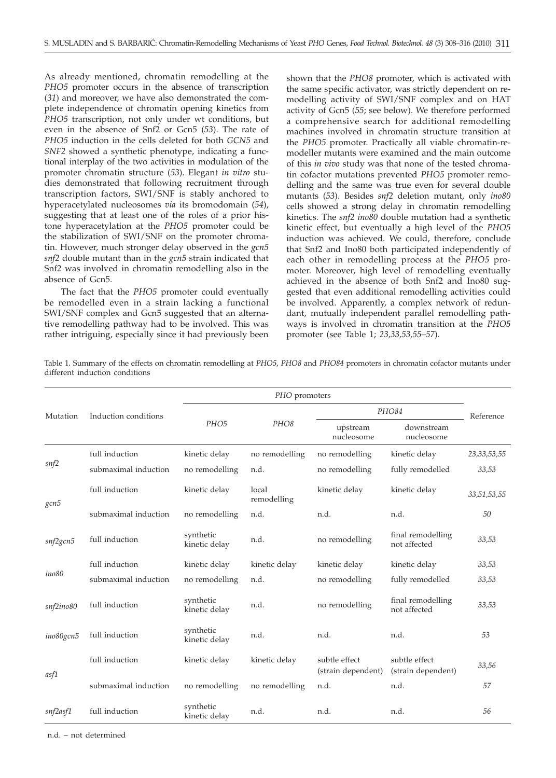As already mentioned, chromatin remodelling at the *PHO5* promoter occurs in the absence of transcription (*31*) and moreover, we have also demonstrated the complete independence of chromatin opening kinetics from *PHO5* transcription, not only under wt conditions, but even in the absence of Snf2 or Gcn5 (*53*). The rate of *PHO5* induction in the cells deleted for both *GCN5* and *SNF2* showed a synthetic phenotype, indicating a functional interplay of the two activities in modulation of the promoter chromatin structure (*53*). Elegant *in vitro* studies demonstrated that following recruitment through transcription factors, SWI/SNF is stably anchored to hyperacetylated nucleosomes *via* its bromodomain (*54*), suggesting that at least one of the roles of a prior histone hyperacetylation at the *PHO5* promoter could be the stabilization of SWI/SNF on the promoter chromatin. However, much stronger delay observed in the *gcn5 snf2* double mutant than in the *gcn5* strain indicated that Snf2 was involved in chromatin remodelling also in the absence of Gcn5.

The fact that the *PHO5* promoter could eventually be remodelled even in a strain lacking a functional SWI/SNF complex and Gcn5 suggested that an alternative remodelling pathway had to be involved. This was rather intriguing, especially since it had previously been shown that the *PHO8* promoter, which is activated with the same specific activator, was strictly dependent on remodelling activity of SWI/SNF complex and on HAT activity of Gcn5 (*55*; see below). We therefore performed a comprehensive search for additional remodelling machines involved in chromatin structure transition at the *PHO5* promoter. Practically all viable chromatin-remodeller mutants were examined and the main outcome of this *in vivo* study was that none of the tested chromatin cofactor mutations prevented *PHO5* promoter remodelling and the same was true even for several double mutants (*53*). Besides *snf2* deletion mutant, only *ino80* cells showed a strong delay in chromatin remodelling kinetics. The *snf2 ino80* double mutation had a synthetic kinetic effect, but eventually a high level of the *PHO5* induction was achieved. We could, therefore, conclude that Snf2 and Ino80 both participated independently of each other in remodelling process at the *PHO5* promoter. Moreover, high level of remodelling eventually achieved in the absence of both Snf2 and Ino80 suggested that even additional remodelling activities could be involved. Apparently, a complex network of redundant, mutually independent parallel remodelling pathways is involved in chromatin transition at the *PHO5* promoter (see Table 1; *23,33,53,55–57*).

Table 1. Summary of the effects on chromatin remodelling at *PHO5*, *PHO8* and *PHO84* promoters in chromatin cofactor mutants under different induction conditions

| Mutation  | Induction conditions | PHO promoters              |                      |                                     |                                     |                |
|-----------|----------------------|----------------------------|----------------------|-------------------------------------|-------------------------------------|----------------|
|           |                      | PHO <sub>5</sub>           | PHO8                 | PHO84                               |                                     | Reference      |
|           |                      |                            |                      | upstream<br>nucleosome              | downstream<br>nucleosome            |                |
| snf2      | full induction       | kinetic delay              | no remodelling       | no remodelling                      | kinetic delay                       | 23, 33, 53, 55 |
|           | submaximal induction | no remodelling             | n.d.                 | no remodelling                      | fully remodelled                    | 33,53          |
| gcn5      | full induction       | kinetic delay              | local<br>remodelling | kinetic delay                       | kinetic delay                       | 33,51,53,55    |
|           | submaximal induction | no remodelling             | n.d.                 | n.d.                                | n.d.                                | 50             |
| snf2gcn5  | full induction       | synthetic<br>kinetic delay | n.d.                 | no remodelling                      | final remodelling<br>not affected   | 33,53          |
| ino80     | full induction       | kinetic delay              | kinetic delay        | kinetic delay                       | kinetic delay                       | 33,53          |
|           | submaximal induction | no remodelling             | n.d.                 | no remodelling                      | fully remodelled                    | 33,53          |
| snf2ino80 | full induction       | synthetic<br>kinetic delay | n.d.                 | no remodelling                      | final remodelling<br>not affected   | 33,53          |
| ino80gcn5 | full induction       | synthetic<br>kinetic delay | n.d.                 | n.d.                                | n.d.                                | 53             |
| asf1      | full induction       | kinetic delay              | kinetic delay        | subtle effect<br>(strain dependent) | subtle effect<br>(strain dependent) | 33,56          |
|           | submaximal induction | no remodelling             | no remodelling       | n.d.                                | n.d.                                | 57             |
| snf2asf1  | full induction       | synthetic<br>kinetic delay | n.d.                 | n.d.                                | n.d.                                | 56             |

n.d. – not determined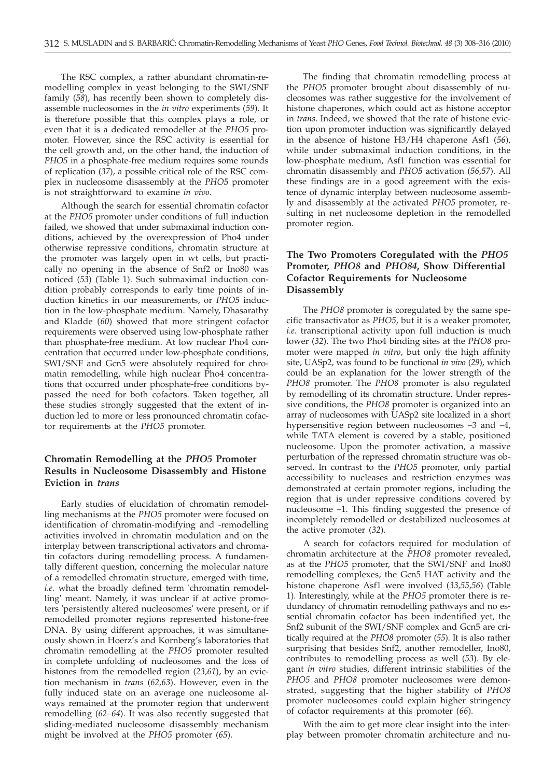The RSC complex, a rather abundant chromatin-remodelling complex in yeast belonging to the SWI/SNF family (*58*), has recently been shown to completely disassemble nucleosomes in the *in vitro* experiments (*59*). It is therefore possible that this complex plays a role, or even that it is a dedicated remodeller at the *PHO5* promoter. However, since the RSC activity is essential for the cell growth and, on the other hand, the induction of *PHO5* in a phosphate-free medium requires some rounds of replication (*37*), a possible critical role of the RSC complex in nucleosome disassembly at the *PHO5* promoter is not straightforward to examine *in vivo.*

Although the search for essential chromatin cofactor at the *PHO5* promoter under conditions of full induction failed, we showed that under submaximal induction conditions, achieved by the overexpression of Pho4 under otherwise repressive conditions, chromatin structure at the promoter was largely open in wt cells, but practically no opening in the absence of Snf2 or Ino80 was noticed (*53*) (Table 1). Such submaximal induction condition probably corresponds to early time points of induction kinetics in our measurements, or *PHO5* induction in the low-phosphate medium. Namely, Dhasarathy and Kladde (*60*) showed that more stringent cofactor requirements were observed using low-phosphate rather than phosphate-free medium. At low nuclear Pho4 concentration that occurred under low-phosphate conditions, SWI/SNF and Gcn5 were absolutely required for chromatin remodelling, while high nuclear Pho4 concentrations that occurred under phosphate-free conditions bypassed the need for both cofactors. Taken together, all these studies strongly suggested that the extent of induction led to more or less pronounced chromatin cofactor requirements at the *PHO5* promoter.

## **Chromatin Remodelling at the** *PHO5* **Promoter Results in Nucleosome Disassembly and Histone Eviction in** *trans*

Early studies of elucidation of chromatin remodelling mechanisms at the *PHO5* promoter were focused on identification of chromatin-modifying and -remodelling activities involved in chromatin modulation and on the interplay between transcriptional activators and chromatin cofactors during remodelling process. A fundamentally different question, concerning the molecular nature of a remodelled chromatin structure, emerged with time, *i.e.* what the broadly defined term 'chromatin remodelling' meant. Namely, it was unclear if at active promoters 'persistently altered nucleosomes' were present, or if remodelled promoter regions represented histone-free DNA. By using different approaches, it was simultaneously shown in Hoerz's and Kornberg's laboratories that chromatin remodelling at the *PHO5* promoter resulted in complete unfolding of nucleosomes and the loss of histones from the remodelled region (*23,61*), by an eviction mechanism in *trans* (*62,63*). However, even in the fully induced state on an average one nucleosome always remained at the promoter region that underwent remodelling (*62–64*). It was also recently suggested that sliding-mediated nucleosome disassembly mechanism might be involved at the *PHO5* promoter (*65*).

The finding that chromatin remodelling process at the *PHO5* promoter brought about disassembly of nucleosomes was rather suggestive for the involvement of histone chaperones, which could act as histone acceptor in *trans*. Indeed, we showed that the rate of histone eviction upon promoter induction was significantly delayed in the absence of histone H3/H4 chaperone Asf1 (*56*), while under submaximal induction conditions, in the low-phosphate medium, Asf1 function was essential for chromatin disassembly and *PHO5* activation (*56,57*). All these findings are in a good agreement with the existence of dynamic interplay between nucleosome assembly and disassembly at the activated *PHO5* promoter, resulting in net nucleosome depletion in the remodelled promoter region.

## **The Two Promoters Coregulated with the** *PHO5* **Promoter,** *PHO8* **and** *PHO84***, Show Differential Cofactor Requirements for Nucleosome Disassembly**

The *PHO8* promoter is coregulated by the same specific transactivator as *PHO5*, but it is a weaker promoter, *i.e.* transcriptional activity upon full induction is much lower (*32*). The two Pho4 binding sites at the *PHO8* promoter were mapped *in vitro*, but only the high affinity site, UASp2, was found to be functional *in vivo* (*29*), which could be an explanation for the lower strength of the *PHO8* promoter. The *PHO8* promoter is also regulated by remodelling of its chromatin structure. Under repressive conditions, the *PHO8* promoter is organized into an array of nucleosomes with UASp2 site localized in a short hypersensitive region between nucleosomes –3 and –4, while TATA element is covered by a stable, positioned nucleosome. Upon the promoter activation, a massive perturbation of the repressed chromatin structure was observed. In contrast to the *PHO5* promoter, only partial accessibility to nucleases and restriction enzymes was demonstrated at certain promoter regions, including the region that is under repressive conditions covered by nucleosome –1. This finding suggested the presence of incompletely remodelled or destabilized nucleosomes at the active promoter (*32*).

A search for cofactors required for modulation of chromatin architecture at the *PHO8* promoter revealed, as at the *PHO5* promoter, that the SWI/SNF and Ino80 remodelling complexes, the Gcn5 HAT activity and the histone chaperone Asf1 were involved (*33,55,56*) (Table 1). Interestingly, while at the *PHO5* promoter there is redundancy of chromatin remodelling pathways and no essential chromatin cofactor has been indentified yet, the Snf2 subunit of the SWI/SNF complex and Gcn5 are critically required at the *PHO8* promoter (*55*). It is also rather surprising that besides Snf2, another remodeller, Ino80, contributes to remodelling process as well (*53*). By elegant *in vitro* studies, different intrinsic stabilities of the *PHO5* and *PHO8* promoter nucleosomes were demonstrated, suggesting that the higher stability of *PHO8* promoter nucleosomes could explain higher stringency of cofactor requirements at this promoter (*66*).

With the aim to get more clear insight into the interplay between promoter chromatin architecture and nu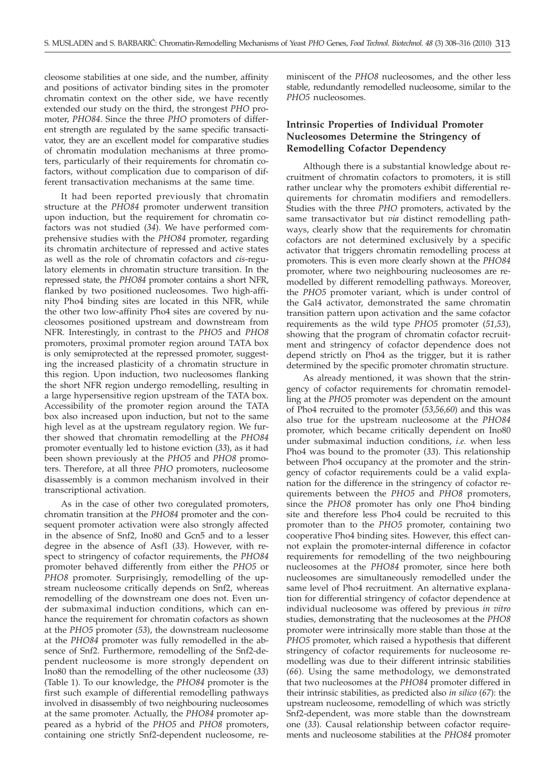cleosome stabilities at one side, and the number, affinity and positions of activator binding sites in the promoter chromatin context on the other side, we have recently extended our study on the third, the strongest *PHO* promoter, *PHO84*. Since the three *PHO* promoters of different strength are regulated by the same specific transactivator, they are an excellent model for comparative studies of chromatin modulation mechanisms at three promoters, particularly of their requirements for chromatin cofactors, without complication due to comparison of different transactivation mechanisms at the same time.

It had been reported previously that chromatin structure at the *PHO84* promoter underwent transition upon induction, but the requirement for chromatin cofactors was not studied (*34*). We have performed comprehensive studies with the *PHO84* promoter, regarding its chromatin architecture of repressed and active states as well as the role of chromatin cofactors and *cis*-regulatory elements in chromatin structure transition. In the repressed state, the *PHO84* promoter contains a short NFR, flanked by two positioned nucleosomes. Two high-affinity Pho4 binding sites are located in this NFR, while the other two low-affinity Pho4 sites are covered by nucleosomes positioned upstream and downstream from NFR. Interestingly, in contrast to the *PHO5* and *PHO8* promoters, proximal promoter region around TATA box is only semiprotected at the repressed promoter, suggesting the increased plasticity of a chromatin structure in this region. Upon induction, two nucleosomes flanking the short NFR region undergo remodelling, resulting in a large hypersensitive region upstream of the TATA box. Accessibility of the promoter region around the TATA box also increased upon induction, but not to the same high level as at the upstream regulatory region. We further showed that chromatin remodelling at the *PHO84* promoter eventually led to histone eviction (*33*), as it had been shown previously at the *PHO5* and *PHO8* promoters. Therefore, at all three *PHO* promoters, nucleosome disassembly is a common mechanism involved in their transcriptional activation.

As in the case of other two coregulated promoters, chromatin transition at the *PHO84* promoter and the consequent promoter activation were also strongly affected in the absence of Snf2, Ino80 and Gcn5 and to a lesser degree in the absence of Asf1 (*33*). However, with respect to stringency of cofactor requirements, the *PHO84* promoter behaved differently from either the *PHO5* or *PHO8* promoter. Surprisingly, remodelling of the upstream nucleosome critically depends on Snf2, whereas remodelling of the downstream one does not. Even under submaximal induction conditions, which can enhance the requirement for chromatin cofactors as shown at the *PHO5* promoter (*53*), the downstream nucleosome at the *PHO84* promoter was fully remodelled in the absence of Snf2. Furthermore, remodelling of the Snf2-dependent nucleosome is more strongly dependent on Ino80 than the remodelling of the other nucleosome (*33*) (Table 1). To our knowledge, the *PHO84* promoter is the first such example of differential remodelling pathways involved in disassembly of two neighbouring nucleosomes at the same promoter. Actually, the *PHO84* promoter appeared as a hybrid of the *PHO5* and *PHO8* promoters, containing one strictly Snf2-dependent nucleosome, re-

miniscent of the *PHO8* nucleosomes, and the other less stable, redundantly remodelled nucleosome, similar to the *PHO5* nucleosomes.

## **Intrinsic Properties of Individual Promoter Nucleosomes Determine the Stringency of Remodelling Cofactor Dependency**

Although there is a substantial knowledge about recruitment of chromatin cofactors to promoters, it is still rather unclear why the promoters exhibit differential requirements for chromatin modifiers and remodellers. Studies with the three *PHO* promoters, activated by the same transactivator but *via* distinct remodelling pathways, clearly show that the requirements for chromatin cofactors are not determined exclusively by a specific activator that triggers chromatin remodelling process at promoters. This is even more clearly shown at the *PHO84* promoter, where two neighbouring nucleosomes are remodelled by different remodelling pathways. Moreover, the *PHO5* promoter variant, which is under control of the Gal4 activator, demonstrated the same chromatin transition pattern upon activation and the same cofactor requirements as the wild type *PHO5* promoter (*51,53*), showing that the program of chromatin cofactor recruitment and stringency of cofactor dependence does not depend strictly on Pho4 as the trigger, but it is rather determined by the specific promoter chromatin structure.

As already mentioned, it was shown that the stringency of cofactor requirements for chromatin remodelling at the *PHO5* promoter was dependent on the amount of Pho4 recruited to the promoter (*53,56,60*) and this was also true for the upstream nucleosome at the *PHO84* promoter, which became critically dependent on Ino80 under submaximal induction conditions, *i.e.* when less Pho4 was bound to the promoter (*33*). This relationship between Pho4 occupancy at the promoter and the stringency of cofactor requirements could be a valid explanation for the difference in the stringency of cofactor requirements between the *PHO5* and *PHO8* promoters, since the *PHO8* promoter has only one Pho4 binding site and therefore less Pho4 could be recruited to this promoter than to the *PHO5* promoter, containing two cooperative Pho4 binding sites. However, this effect cannot explain the promoter-internal difference in cofactor requirements for remodelling of the two neighbouring nucleosomes at the *PHO84* promoter, since here both nucleosomes are simultaneously remodelled under the same level of Pho4 recruitment. An alternative explanation for differential stringency of cofactor dependence at individual nucleosome was offered by previous *in vitro* studies, demonstrating that the nucleosomes at the *PHO8* promoter were intrinsically more stable than those at the *PHO5* promoter, which raised a hypothesis that different stringency of cofactor requirements for nucleosome remodelling was due to their different intrinsic stabilities (*66*). Using the same methodology, we demonstrated that two nucleosomes at the *PHO84* promoter differed in their intrinsic stabilities, as predicted also *in silico* (*67*): the upstream nucleosome, remodelling of which was strictly Snf2-dependent, was more stable than the downstream one (*33*). Causal relationship between cofactor requirements and nucleosome stabilities at the *PHO84* promoter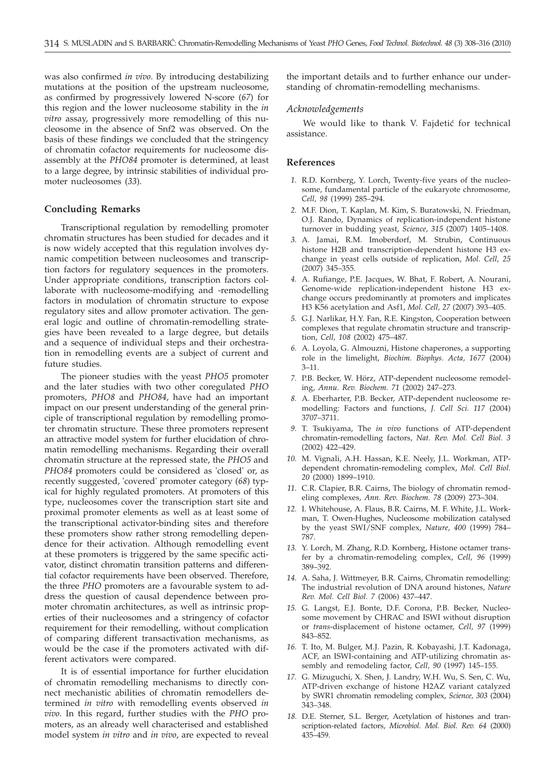was also confirmed *in vivo*. By introducing destabilizing mutations at the position of the upstream nucleosome, as confirmed by progressively lowered N-score (*67*) for this region and the lower nucleosome stability in the *in vitro* assay, progressively more remodelling of this nucleosome in the absence of Snf2 was observed. On the basis of these findings we concluded that the stringency of chromatin cofactor requirements for nucleosome disassembly at the *PHO84* promoter is determined, at least to a large degree, by intrinsic stabilities of individual promoter nucleosomes (*33*).

#### **Concluding Remarks**

Transcriptional regulation by remodelling promoter chromatin structures has been studied for decades and it is now widely accepted that this regulation involves dynamic competition between nucleosomes and transcription factors for regulatory sequences in the promoters. Under appropriate conditions, transcription factors collaborate with nucleosome-modifying and -remodelling factors in modulation of chromatin structure to expose regulatory sites and allow promoter activation. The general logic and outline of chromatin-remodelling strategies have been revealed to a large degree, but details and a sequence of individual steps and their orchestration in remodelling events are a subject of current and future studies.

The pioneer studies with the yeast *PHO5* promoter and the later studies with two other coregulated *PHO* promoters, *PHO8* and *PHO84*, have had an important impact on our present understanding of the general principle of transcriptional regulation by remodelling promoter chromatin structure. These three promoters represent an attractive model system for further elucidation of chromatin remodelling mechanisms. Regarding their overall chromatin structure at the repressed state, the *PHO5* and *PHO84* promoters could be considered as 'closed' or, as recently suggested, 'covered' promoter category (*68*) typical for highly regulated promoters. At promoters of this type, nucleosomes cover the transcription start site and proximal promoter elements as well as at least some of the transcriptional activator-binding sites and therefore these promoters show rather strong remodelling dependence for their activation. Although remodelling event at these promoters is triggered by the same specific activator, distinct chromatin transition patterns and differential cofactor requirements have been observed. Therefore, the three *PHO* promoters are a favourable system to address the question of causal dependence between promoter chromatin architectures, as well as intrinsic properties of their nucleosomes and a stringency of cofactor requirement for their remodelling, without complication of comparing different transactivation mechanisms, as would be the case if the promoters activated with different activators were compared.

It is of essential importance for further elucidation of chromatin remodelling mechanisms to directly connect mechanistic abilities of chromatin remodellers determined *in vitro* with remodelling events observed *in vivo*. In this regard, further studies with the *PHO* promoters, as an already well characterised and established model system *in vitro* and *in vivo*, are expected to reveal

the important details and to further enhance our understanding of chromatin-remodelling mechanisms.

#### *Acknowledgements*

We would like to thank V. Fajdetić for technical assistance.

#### **References**

- *1.* R.D. Kornberg, Y. Lorch, Twenty-five years of the nucleosome, fundamental particle of the eukaryote chromosome, *Cell, 98* (1999) 285–294.
- *2.* M.F. Dion, T. Kaplan, M. Kim, S. Buratowski, N. Friedman, O.J. Rando, Dynamics of replication-independent histone turnover in budding yeast, *Science, 315* (2007) 1405–1408.
- *3.* A. Jamai, R.M. Imoberdorf, M. Strubin, Continuous histone H2B and transcription-dependent histone H3 exchange in yeast cells outside of replication, *Mol. Cell, 25* (2007) 345–355.
- *4.* A. Rufiange, P.E. Jacques, W. Bhat, F. Robert, A. Nourani, Genome-wide replication-independent histone H3 exchange occurs predominantly at promoters and implicates H3 K56 acetylation and Asf1, *Mol. Cell, 27* (2007) 393–405.
- *5.* G.J. Narlikar, H.Y. Fan, R.E. Kingston, Cooperation between complexes that regulate chromatin structure and transcription, *Cell, 108* (2002) 475–487.
- *6.* A. Loyola, G. Almouzni, Histone chaperones, a supporting role in the limelight, *Biochim. Biophys. Acta, 1677* (2004) 3–11.
- *7.* P.B. Becker, W. Hörz, ATP-dependent nucleosome remodeling, *Annu. Rev. Biochem. 71* (2002) 247–273.
- *8.* A. Eberharter, P.B. Becker, ATP-dependent nucleosome remodelling: Factors and functions, *J. Cell Sci. 117* (2004) 3707–3711.
- *9.* T. Tsukiyama, The *in vivo* functions of ATP-dependent chromatin-remodelling factors, *Nat. Rev. Mol. Cell Biol. 3* (2002) 422–429.
- *10.* M. Vignali, A.H. Hassan, K.E. Neely, J.L. Workman, ATPdependent chromatin-remodeling complex, *Mol. Cell Biol. 20* (2000) 1899–1910.
- *11.* C.R. Clapier, B.R. Cairns, The biology of chromatin remodeling complexes, *Ann. Rev. Biochem. 78* (2009) 273–304.
- *12.* I. Whitehouse, A. Flaus, B.R. Cairns, M. F. White, J.L. Workman, T. Owen-Hughes, Nucleosome mobilization catalysed by the yeast SWI/SNF complex, *Nature, 400* (1999) 784– 787.
- *13.* Y. Lorch, M. Zhang, R.D. Kornberg, Histone octamer transfer by a chromatin-remodeling complex, *Cell, 96* (1999) 389–392.
- *14.* A. Saha, J. Wittmeyer, B.R. Cairns, Chromatin remodelling: The industrial revolution of DNA around histones, *Nature Rev. Mol. Cell Biol. 7* (2006) 437–447.
- *15.* G. Langst, E.J. Bonte, D.F. Corona, P.B. Becker, Nucleosome movement by CHRAC and ISWI without disruption or *trans*-displacement of histone octamer, *Cell, 97* (1999) 843–852.
- *16.* T. Ito, M. Bulger, M.J. Pazin, R. Kobayashi, J.T. Kadonaga, ACF, an ISWI-containing and ATP-utilizing chromatin assembly and remodeling factor, *Cell, 90* (1997) 145–155.
- *17.* G. Mizuguchi, X. Shen, J. Landry, W.H. Wu, S. Sen, C. Wu, ATP-driven exchange of histone H2AZ variant catalyzed by SWR1 chromatin remodeling complex, *Science, 303* (2004) 343–348.
- *18.* D.E. Sterner, S.L. Berger, Acetylation of histones and transcription-related factors, *Microbiol. Mol. Biol. Rev. 64* (2000) 435–459.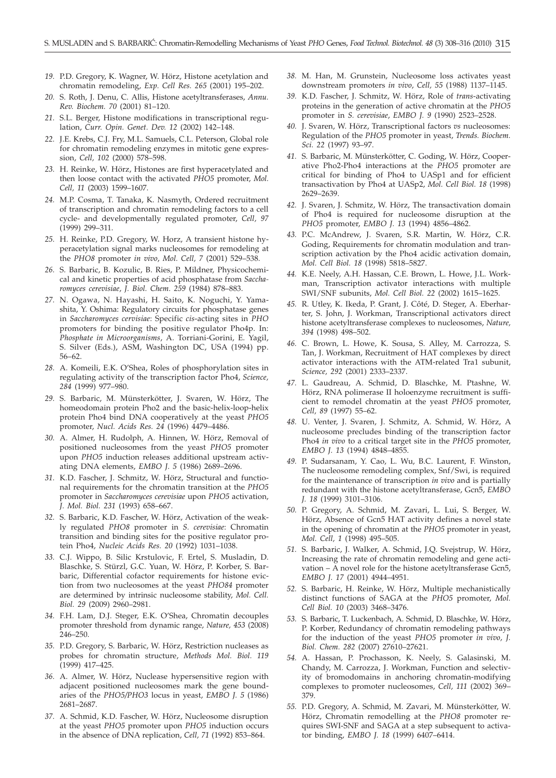- *19.* P.D. Gregory, K. Wagner, W. Hörz, Histone acetylation and chromatin remodeling, *Exp. Cell Res. 265* (2001) 195–202.
- *20.* S. Roth, J. Denu, C. Allis, Histone acetyltransferases, *Annu. Rev. Biochem. 70* (2001) 81–120.
- *21.* S.L. Berger, Histone modifications in transcriptional regulation, *Curr. Opin. Genet. Dev. 12* (2002) 142–148.
- *22.* J.E. Krebs, C.J. Fry, M.L. Samuels, C.L. Peterson, Global role for chromatin remodeling enzymes in mitotic gene expression, *Cell, 102* (2000) 578–598.
- *23.* H. Reinke, W. Hörz, Histones are first hyperacetylated and then loose contact with the activated *PHO5* promoter, *Mol. Cell, 11* (2003) 1599–1607.
- *24.* M.P. Cosma, T. Tanaka, K. Nasmyth, Ordered recruitment of transcription and chromatin remodeling factors to a cell cycle- and developmentally regulated promoter, *Cell, 97* (1999) 299–311.
- *25.* H. Reinke, P.D. Gregory, W. Horz, A transient histone hyperacetylation signal marks nucleosomes for remodeling at the *PHO8* promoter *in vivo*, *Mol. Cell, 7* (2001) 529–538.
- *26.* S. Barbaric, B. Kozulic, B. Ries, P. Mildner, Physicochemical and kinetic properties of acid phosphatase from *Saccharomyces cerevisiae*, *J. Biol. Chem. 259* (1984) 878–883.
- *27.* N. Ogawa, N. Hayashi, H. Saito, K. Noguchi, Y. Yamashita, Y. Oshima: Regulatory circuits for phosphatase genes in *Saccharomyces cervisiae*: Specific *cis*-acting sites in *PHO* promoters for binding the positive regulator Pho4p. In: *Phosphate in Microorganisms*, A. Torriani-Gorini, E. Yagil, S. Silver (Eds.), ASM, Washington DC, USA (1994) pp. 56–62.
- *28.* A. Komeili, E.K. O'Shea, Roles of phosphorylation sites in regulating activity of the transcription factor Pho4, *Science, 284* (1999) 977–980.
- *29.* S. Barbaric, M. Münsterkötter, J. Svaren, W. Hörz, The homeodomain protein Pho2 and the basic-helix-loop-helix protein Pho4 bind DNA cooperatively at the yeast *PHO5* promoter, *Nucl. Acids Res. 24* (1996) 4479–4486.
- *30.* A. Almer, H. Rudolph, A. Hinnen, W. Hörz, Removal of positioned nucleosomes from the yeast *PHO5* promoter upon *PHO5* induction releases additional upstream activating DNA elements, *EMBO J. 5* (1986) 2689–2696.
- *31.* K.D. Fascher, J. Schmitz, W. Hörz, Structural and functional requirements for the chromatin transition at the *PHO5* promoter in *Saccharomyces cerevisiae* upon *PHO5* activation, *J. Mol. Biol. 231* (1993) 658–667.
- *32.* S. Barbaric, K.D. Fascher, W. Hörz, Activation of the weakly regulated *PHO8* promoter in *S. cerevisiae*: Chromatin transition and binding sites for the positive regulator protein Pho4, *Nucleic Acids Res. 20* (1992) 1031–1038.
- *33.* C.J. Wippo, B. Silic Krstulovic, F. Ertel, S. Musladin, D. Blaschke, S. Stürzl, G.C. Yuan, W. Hörz, P. Korber, S. Barbaric, Differential cofactor requirements for histone eviction from two nucleosomes at the yeast *PHO84* promoter are determined by intrinsic nucleosome stability, *Mol. Cell. Biol. 29* (2009) 2960–2981.
- *34.* F.H. Lam, D.J. Steger, E.K. O'Shea, Chromatin decouples promoter threshold from dynamic range, *Nature, 453* (2008) 246–250.
- *35.* P.D. Gregory, S. Barbaric, W. Hörz, Restriction nucleases as probes for chromatin structure, *Methods Mol. Biol. 119* (1999) 417–425.
- *36.* A. Almer, W. Hörz, Nuclease hypersensitive region with adjacent positioned nucleosomes mark the gene boundaries of the *PHO5/PHO3* locus in yeast, *EMBO J. 5* (1986) 2681–2687.
- *37.* A. Schmid, K.D. Fascher, W. Hörz, Nucleosome disruption at the yeast *PHO5* promoter upon *PHO5* induction occurs in the absence of DNA replication, *Cell, 71* (1992) 853–864.
- *38.* M. Han, M. Grunstein, Nucleosome loss activates yeast downstream promoters *in vivo*, *Cell, 55* (1988) 1137–1145.
- *39.* K.D. Fascher, J. Schmitz, W. Hörz, Role of *trans*-activating proteins in the generation of active chromatin at the *PHO5* promoter in *S. cerevisiae*, *EMBO J. 9* (1990) 2523–2528.
- *40.* J. Svaren, W. Hörz, Transcriptional factors *vs* nucleosomes: Regulation of the *PHO5* promoter in yeast, *Trends. Biochem. Sci. 22* (1997) 93–97.
- *41.* S. Barbaric, M. Münsterkötter, C. Goding, W. Hörz, Cooperative Pho2-Pho4 interactions at the *PHO5* promoter are critical for binding of Pho4 to UASp1 and for efficient transactivation by Pho4 at UASp2, *Mol. Cell Biol. 18* (1998) 2629–2639.
- *42.* J. Svaren, J. Schmitz, W. Hörz, The transactivation domain of Pho4 is required for nucleosome disruption at the *PHO5* promoter, *EMBO J. 13* (1994) 4856–4862.
- *43.* P.C. McAndrew, J. Svaren, S.R. Martin, W. Hörz, C.R. Goding, Requirements for chromatin modulation and transcription activation by the Pho4 acidic activation domain, *Mol. Cell Biol. 18* (1998) 5818–5827.
- *44.* K.E. Neely, A.H. Hassan, C.E. Brown, L. Howe, J.L. Workman, Transcription activator interactions with multiple SWI/SNF subunits, *Mol. Cell Biol. 22* (2002) 1615–1625.
- *45.* R. Utley, K. Ikeda, P. Grant, J. Côté, D. Steger, A. Eberharter, S. John, J. Workman, Transcriptional activators direct histone acetyltransferase complexes to nucleosomes, *Nature, 394* (1998) 498–502.
- *46.* C. Brown, L. Howe, K. Sousa, S. Alley, M. Carrozza, S. Tan, J. Workman, Recruitment of HAT complexes by direct activator interactions with the ATM-related Tra1 subunit, *Science, 292* (2001) 2333–2337.
- *47.* L. Gaudreau, A. Schmid, D. Blaschke, M. Ptashne, W. Hörz, RNA polimerase II holoenzyme recruitment is sufficient to remodel chromatin at the yeast *PHO5* promoter, *Cell, 89* (1997) 55–62.
- *48.* U. Venter, J. Svaren, J. Schmitz, A. Schmid, W. Hörz, A nucleosome precludes binding of the transcription factor Pho4 *in vivo* to a critical target site in the *PHO5* promoter, *EMBO J. 13* (1994) 4848–4855.
- *49.* P. Sudarsanam, Y. Cao, L. Wu, B.C. Laurent, F. Winston, The nucleosome remodeling complex, Snf/Swi, is required for the maintenance of transcription *in vivo* and is partially redundant with the histone acetyltransferase, Gcn5, *EMBO J. 18* (1999) 3101–3106.
- *50.* P. Gregory, A. Schmid, M. Zavari, L. Lui, S. Berger, W. Hörz, Absence of Gcn5 HAT activity defines a novel state in the opening of chromatin at the *PHO5* promoter in yeast, *Mol. Cell, 1* (1998) 495–505.
- *51.* S. Barbaric, J. Walker, A. Schmid, J.Q. Svejstrup, W. Hörz, Increasing the rate of chromatin remodeling and gene activation –  $\breve{A}$  novel role for the histone acetyltransferase Gcn5, *EMBO J. 17* (2001) 4944–4951.
- *52.* S. Barbaric, H. Reinke, W. Hörz, Multiple mechanistically distinct functions of SAGA at the *PHO5* promoter, *Mol. Cell Biol. 10* (2003) 3468–3476.
- *53.* S. Barbaric, T. Luckenbach, A. Schmid, D. Blaschke, W. Hörz, P. Korber, Redundancy of chromatin remodeling pathways for the induction of the yeast *PHO5* promoter *in vivo*, *J. Biol. Chem. 282* (2007) 27610–27621.
- *54.* A. Hassan, P. Prochasson, K. Neely, S. Galasinski, M. Chandy, M. Carrozza, J. Workman, Function and selectivity of bromodomains in anchoring chromatin-modifying complexes to promoter nucleosomes, *Cell, 111* (2002) 369– 379.
- *55.* P.D. Gregory, A. Schmid, M. Zavari, M. Münsterkötter, W. Hörz, Chromatin remodelling at the *PHO8* promoter requires SWI-SNF and SAGA at a step subsequent to activator binding, *EMBO J. 18* (1999) 6407–6414.